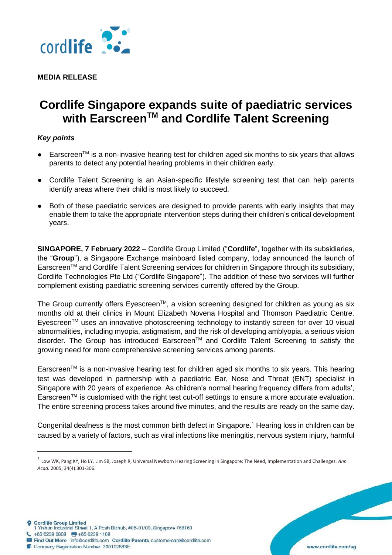

**MEDIA RELEASE** 

## **Cordlife Singapore expands suite of paediatric services with EarscreenTM and Cordlife Talent Screening**

## *Key points*

- $\bullet$  Earscreen<sup>TM</sup> is a non-invasive hearing test for children aged six months to six years that allows parents to detect any potential hearing problems in their children early.
- Cordlife Talent Screening is an Asian-specific lifestyle screening test that can help parents identify areas where their child is most likely to succeed.
- Both of these paediatric services are designed to provide parents with early insights that may enable them to take the appropriate intervention steps during their children's critical development years.

**SINGAPORE, 7 February 2022** – Cordlife Group Limited ("**Cordlife**", together with its subsidiaries, the "**Group**"), a Singapore Exchange mainboard listed company, today announced the launch of EarscreenTM and Cordlife Talent Screening services for children in Singapore through its subsidiary, Cordlife Technologies Pte Ltd ("Cordlife Singapore"). The addition of these two services will further complement existing paediatric screening services currently offered by the Group.

The Group currently offers Eyescreen™, a vision screening designed for children as young as six months old at their clinics in Mount Elizabeth Novena Hospital and Thomson Paediatric Centre. Eyescreen<sup>TM</sup> uses an innovative photoscreening technology to instantly screen for over 10 visual abnormalities, including myopia, astigmatism, and the risk of developing amblyopia, a serious vision disorder. The Group has introduced Earscreen™ and Cordlife Talent Screening to satisfy the growing need for more comprehensive screening services among parents.

Earscreen™ is a non-invasive hearing test for children aged six months to six years. This hearing test was developed in partnership with a paediatric Ear, Nose and Throat (ENT) specialist in Singapore with 20 years of experience. As children's normal hearing frequency differs from adults', Earscreen™ is customised with the right test cut-off settings to ensure a more accurate evaluation. The entire screening process takes around five minutes, and the results are ready on the same day.

Congenital deafness is the most common birth defect in Singapore.<sup>1</sup> Hearing loss in children can be caused by a variety of factors, such as viral infections like meningitis, nervous system injury, harmful

<sup>1</sup> Low WK, Pang KY, Ho LY, Lim SB, Joseph R, Universal Newborn Hearing Screening in Singapore: The Need, Implementation and Challenges. *Ann. Acad.* 2005; 34(4):301-306.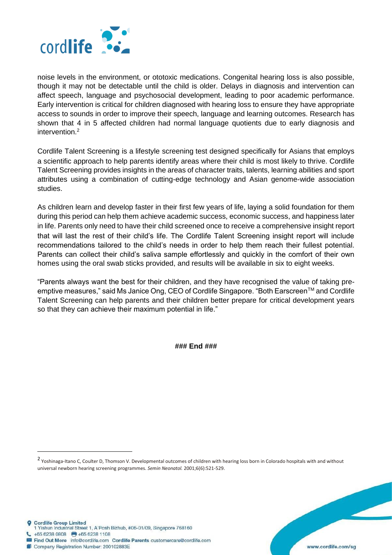

noise levels in the environment, or ototoxic medications. Congenital hearing loss is also possible, though it may not be detectable until the child is older. Delays in diagnosis and intervention can affect speech, language and psychosocial development, leading to poor academic performance. Early intervention is critical for children diagnosed with hearing loss to ensure they have appropriate access to sounds in order to improve their speech, language and learning outcomes. Research has shown that 4 in 5 affected children had normal language quotients due to early diagnosis and intervention $2$ 

Cordlife Talent Screening is a lifestyle screening test designed specifically for Asians that employs a scientific approach to help parents identify areas where their child is most likely to thrive. Cordlife Talent Screening provides insights in the areas of character traits, talents, learning abilities and sport attributes using a combination of cutting-edge technology and Asian genome-wide association studies.

As children learn and develop faster in their first few years of life, laying a solid foundation for them during this period can help them achieve academic success, economic success, and happiness later in life. Parents only need to have their child screened once to receive a comprehensive insight report that will last the rest of their child's life. The Cordlife Talent Screening insight report will include recommendations tailored to the child's needs in order to help them reach their fullest potential. Parents can collect their child's saliva sample effortlessly and quickly in the comfort of their own homes using the oral swab sticks provided, and results will be available in six to eight weeks.

"Parents always want the best for their children, and they have recognised the value of taking preemptive measures," said Ms Janice Ong, CEO of Cordlife Singapore. "Both Earscreen™ and Cordlife Talent Screening can help parents and their children better prepare for critical development years so that they can achieve their maximum potential in life."

**### End ###**

2 Yoshinaga-Itano C, Coulter D, Thomson V. Developmental outcomes of children with hearing loss born in Colorado hospitals with and without universal newborn hearing screening programmes. *Semin Neonatol.* 2001;6(6):521-529.